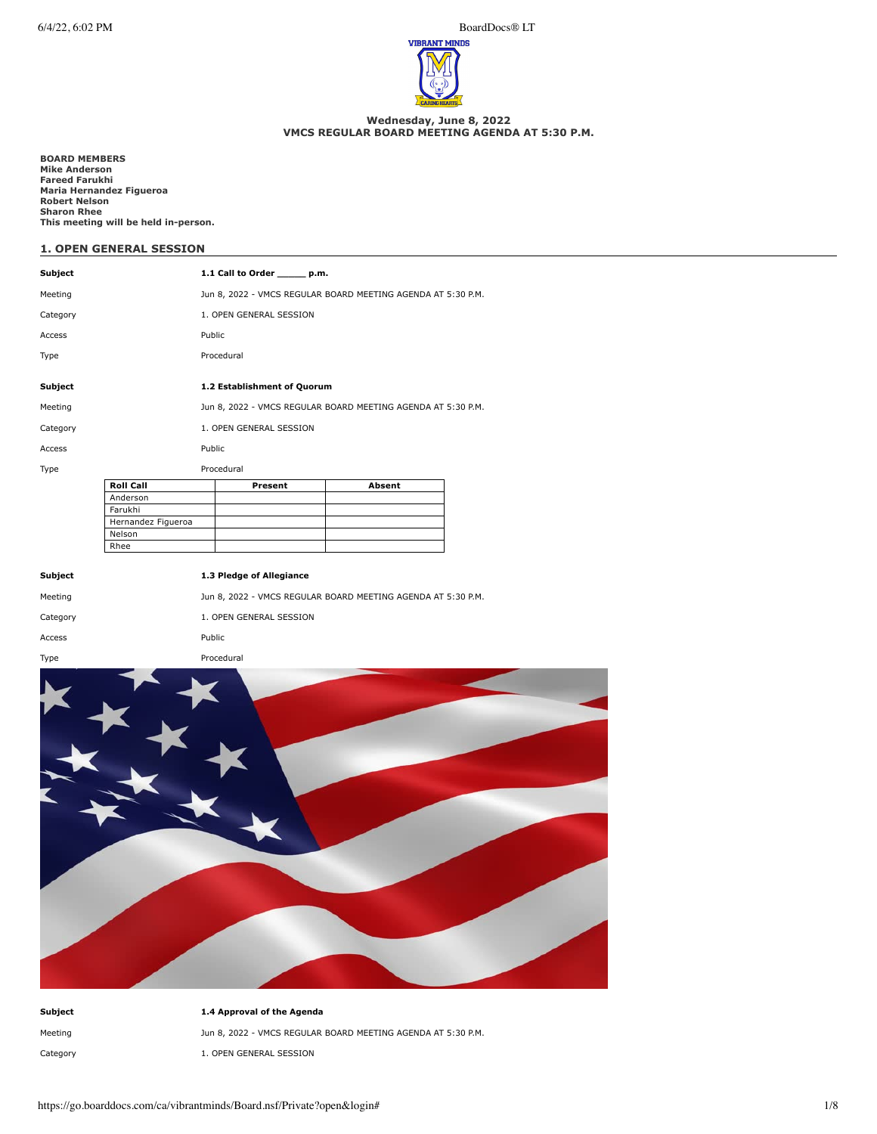6/4/22, 6:02 PM BoardDocs® LT



### **Wednesday, June 8, 2022 VMCS REGULAR BOARD MEETING AGENDA AT 5:30 P.M.**

**BOARD MEMBERS Mike Anderson Fareed Farukhi Maria Hernandez Figueroa Robert Nelson Sharon Rhee This meeting will be held in-person.**

# **1. OPEN GENERAL SESSION**

| Subject  |                    |                                                              | 1.1 Call to Order _______ p.m. |                                                              |  |
|----------|--------------------|--------------------------------------------------------------|--------------------------------|--------------------------------------------------------------|--|
| Meeting  |                    | Jun 8, 2022 - VMCS REGULAR BOARD MEETING AGENDA AT 5:30 P.M. |                                |                                                              |  |
| Category |                    |                                                              | 1. OPEN GENERAL SESSION        |                                                              |  |
| Access   |                    | Public                                                       |                                |                                                              |  |
| Type     |                    |                                                              | Procedural                     |                                                              |  |
|          |                    |                                                              |                                |                                                              |  |
| Subject  |                    |                                                              | 1.2 Establishment of Quorum    |                                                              |  |
| Meeting  |                    |                                                              |                                | Jun 8, 2022 - VMCS REGULAR BOARD MEETING AGENDA AT 5:30 P.M. |  |
| Category |                    |                                                              | 1. OPEN GENERAL SESSION        |                                                              |  |
| Access   |                    | Public                                                       |                                |                                                              |  |
| Type     |                    |                                                              | Procedural                     |                                                              |  |
|          | <b>Roll Call</b>   |                                                              | Present                        | Absent                                                       |  |
|          | Anderson           |                                                              |                                |                                                              |  |
|          | Farukhi            |                                                              |                                |                                                              |  |
|          | Hernandez Figueroa |                                                              |                                |                                                              |  |
|          | Nelson             |                                                              |                                |                                                              |  |
|          | Rhee               |                                                              |                                |                                                              |  |
| Subject  |                    |                                                              | 1.3 Pledge of Allegiance       |                                                              |  |
| Meeting  |                    |                                                              |                                | Jun 8, 2022 - VMCS REGULAR BOARD MEETING AGENDA AT 5:30 P.M. |  |
| Category |                    |                                                              | 1. OPEN GENERAL SESSION        |                                                              |  |
| Access   |                    | Public                                                       |                                |                                                              |  |
| Type     |                    |                                                              | Procedural                     |                                                              |  |
|          |                    |                                                              |                                |                                                              |  |
|          |                    |                                                              |                                |                                                              |  |
|          |                    |                                                              |                                |                                                              |  |
|          |                    |                                                              |                                |                                                              |  |
|          |                    |                                                              |                                |                                                              |  |



| Subiect  | 1.4 Approval of the Agenda                                   |
|----------|--------------------------------------------------------------|
| Meeting  | Jun 8, 2022 - VMCS REGULAR BOARD MEETING AGENDA AT 5:30 P.M. |
| Category | 1. OPEN GENERAL SESSION                                      |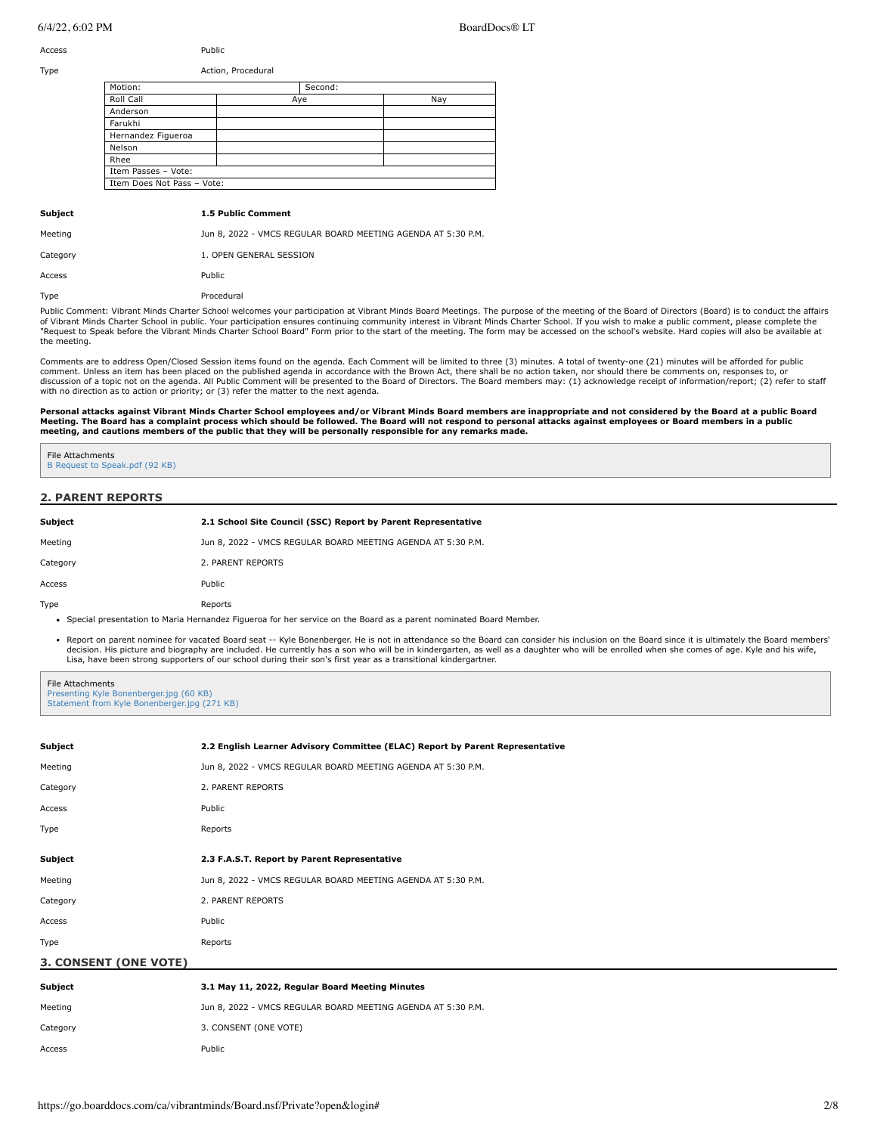## $6/4/22.6:02 \text{ PM}$

Access Public

| BoardDocs® LT |  |
|---------------|--|
|               |  |

Motion: Second: Second: Roll Call Aye Nay Anderson Farukhi Hernandez Figueroa Nelson Rhee Item Passes – Vote: Item Does Not Pass – Vote: Type **Action**, Procedural **Subject 1.5 Public Comment** Meeting **Mundam State Common State State Jun 8, 2022 - VMCS REGULAR BOARD MEETING AGENDA AT 5:30 P.M.** Category 1. OPEN GENERAL SESSION Access Public Type Procedural

Public Comment: Vibrant Minds Charter School welcomes your participation at Vibrant Minds Board Meetings. The purpose of the meeting of the Board of Directors (Board) is to conduct the affairs of Vibrant Minds Charter School in public. Your participation ensures continuing community interest in Vibrant Minds Charter School. If you wish to make a public comment, please complete the "Request to Speak before the Vibrant Minds Charter School Board" Form prior to the start of the meeting. The form may be accessed on the school's website. Hard copies will also be available at the meeting.

Comments are to address Open/Closed Session items found on the agenda. Each Comment will be limited to three (3) minutes. A total of twenty-one (21) minutes will be afforded for public comment. Unless an item has been placed on the published agenda in accordance with the Brown Act, there shall be no action taken, nor should there be comments on, responses to, or discussion of a topic not on the agenda. All Public Comment will be presented to the Board of Directors. The Board members may: (1) acknowledge receipt of information/report; (2) refer to staff with no direction as to action or priority; or (3) refer the matter to the next agenda.

Personal attacks against Vibrant Minds Charter School employees and/or Vibrant Minds Board members are inappropriate and not considered by the Board at a public Board<br>Meeting, The Board has a complaint process which should

#### File Attachments [B Request to Speak.pdf \(92 KB\)](https://go.boarddocs.com/ca/vibrantminds/Board.nsf/files/CF3T3Y75789B/$file/B%20Request%20to%20Speak.pdf)

## **2. PARENT REPORTS**

| <b>Subject</b> | 2.1 School Site Council (SSC) Report by Parent Representative                                                       |
|----------------|---------------------------------------------------------------------------------------------------------------------|
| Meeting        | Jun 8, 2022 - VMCS REGULAR BOARD MEETING AGENDA AT 5:30 P.M.                                                        |
| Category       | 2. PARENT REPORTS                                                                                                   |
| Access         | Public                                                                                                              |
| Type           | Reports                                                                                                             |
|                | • Special presentation to Maria Hernandez Figueroa for her service on the Board as a parent nominated Board Member. |

• Report on parent nominee for vacated Board seat -- Kyle Bonenberger. He is not in attendance so the Board can consider his inclusion on the Board since it is ultimately the Board members' decision. His picture and biography are included. He currently has a son who will be in kindergarten, as well as a daughter who will be enrolled when she comes of age. Kyle and his wife, Lisa, have been strong supporters of our school during their son's first year as a transitional kindergartner.

File Attachments [Presenting Kyle Bonenberger.jpg \(60 KB\)](https://go.boarddocs.com/ca/vibrantminds/Board.nsf/files/CF3TCK76B9D7/$file/Presenting%20Kyle%20Bonenberger.jpg) [Statement from Kyle Bonenberger.jpg \(271 KB\)](https://go.boarddocs.com/ca/vibrantminds/Board.nsf/files/CF3TCM76BC6C/$file/Statement%20from%20Kyle%20Bonenberger.jpg)

| Subject                    | 2.2 English Learner Advisory Committee (ELAC) Report by Parent Representative |
|----------------------------|-------------------------------------------------------------------------------|
| Meeting                    | Jun 8, 2022 - VMCS REGULAR BOARD MEETING AGENDA AT 5:30 P.M.                  |
| Category                   | 2. PARENT REPORTS                                                             |
| Access                     | Public                                                                        |
| Type                       | Reports                                                                       |
|                            |                                                                               |
| Subject                    | 2.3 F.A.S.T. Report by Parent Representative                                  |
| Meeting                    | Jun 8, 2022 - VMCS REGULAR BOARD MEETING AGENDA AT 5:30 P.M.                  |
| Category                   | 2. PARENT REPORTS                                                             |
| Access                     | Public                                                                        |
| Type                       | Reports                                                                       |
| 3. CONSENT (ONE VOTE)      |                                                                               |
| Subject                    | 3.1 May 11, 2022, Regular Board Meeting Minutes                               |
| Meeting                    | Jun 8, 2022 - VMCS REGULAR BOARD MEETING AGENDA AT 5:30 P.M.                  |
| $C2 + \alpha \alpha \beta$ | 2 CONCENT (ONE VOTE)                                                          |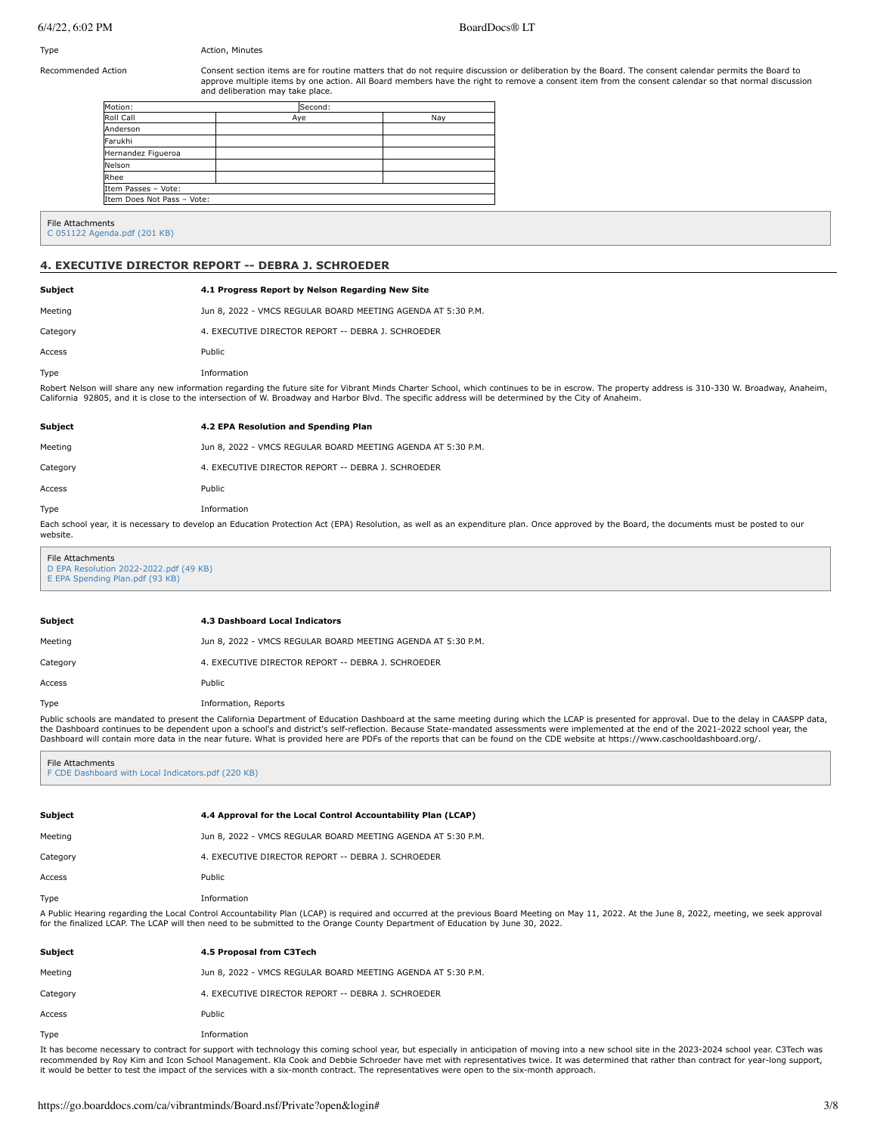## Type **Action**, Minutes

Recommended Action **Consent section items are for routine matters** that do not require discussion or deliberation by the Board. The consent calendar permits the Board to approve multiple items by one action. All Board members have the right to remove a consent item from the consent calendar so that normal discussion and deliberation may take place.

| Motion:                    | Second: |     |  |
|----------------------------|---------|-----|--|
| Roll Call                  | Aye     | Nay |  |
| Anderson                   |         |     |  |
| Farukhi                    |         |     |  |
| Hernandez Figueroa         |         |     |  |
| Nelson                     |         |     |  |
| Rhee                       |         |     |  |
| Item Passes - Vote:        |         |     |  |
| Item Does Not Pass - Vote: |         |     |  |

#### File Attachments [C 051122 Agenda.pdf \(201 KB\)](https://go.boarddocs.com/ca/vibrantminds/Board.nsf/files/CF435B052AC9/$file/C%20051122%20Agenda.pdf)

## **4. EXECUTIVE DIRECTOR REPORT -- DEBRA J. SCHROEDER**

| <b>Subject</b> | 4.1 Progress Report by Nelson Regarding New Site                                                                   |  |
|----------------|--------------------------------------------------------------------------------------------------------------------|--|
| Meeting        | Jun 8, 2022 - VMCS REGULAR BOARD MEETING AGENDA AT 5:30 P.M.                                                       |  |
| Category       | 4. EXECUTIVE DIRECTOR REPORT -- DEBRA 1. SCHROEDER                                                                 |  |
| Access         | Public                                                                                                             |  |
| Type           | Information                                                                                                        |  |
|                | Debaut Nelson will ebene entreas information monopolise the Cityne ofte for Vibroat Minde Chapter Cebeal, which as |  |

Robert Nelson will share any new information regarding the future site for Vibrant Minds Charter School, which continues to be in escrow. The property address is 310-330 W. Broadway, Anaheim,<br>California 92805, and it is c

| Subject  | 4.2 EPA Resolution and Spending Plan                                                                                                                                                       |
|----------|--------------------------------------------------------------------------------------------------------------------------------------------------------------------------------------------|
| Meeting  | Jun 8, 2022 - VMCS REGULAR BOARD MEETING AGENDA AT 5:30 P.M.                                                                                                                               |
| Category | 4. EXECUTIVE DIRECTOR REPORT -- DEBRA 1. SCHROEDER                                                                                                                                         |
| Access   | Public                                                                                                                                                                                     |
| Type     | Information                                                                                                                                                                                |
| website. | Each school year, it is necessary to develop an Education Protection Act (EPA) Resolution, as well as an expenditure plan. Once approved by the Board, the documents must be posted to our |

File Attachments [D EPA Resolution 2022-2022.pdf \(49 KB\)](https://go.boarddocs.com/ca/vibrantminds/Board.nsf/files/CF3TH57765C2/$file/D%20EPA%20Resolution%202022-2022.pdf) [E EPA Spending Plan.pdf \(93 KB\)](https://go.boarddocs.com/ca/vibrantminds/Board.nsf/files/CF3TH7776781/$file/E%20EPA%20Spending%20Plan.pdf)

| Subiect  | 4.3 Dashboard Local Indicators                                                                                                                                                |
|----------|-------------------------------------------------------------------------------------------------------------------------------------------------------------------------------|
| Meeting  | Jun 8, 2022 - VMCS REGULAR BOARD MEETING AGENDA AT 5:30 P.M.                                                                                                                  |
| Category | 4. EXECUTIVE DIRECTOR REPORT -- DEBRA J. SCHROEDER                                                                                                                            |
| Access   | Public                                                                                                                                                                        |
| Tvpe     | Information, Reports                                                                                                                                                          |
|          | Public schools are mandated to present the California Department of Education Dashboard at the same meeting during which the LCAP is presented for approval. Due to the delay |

Public schools are mandated to present the California Department of Education Dashboard at the same meeting during which the LCAP is presented for approval. Due to the delay in CAASPP data, the Dashboard continues to be dependent upon a school's and district's self-reflection. Because State-mandated assessments were implemented at the end of the 2021-2022 school year, the Dashboard will contain more data in the near future. What is provided here are PDFs of the reports that can be found on the CDE website at https://www.caschooldashboard.org/.

File Attachments

[F CDE Dashboard with Local Indicators.pdf \(220 KB\)](https://go.boarddocs.com/ca/vibrantminds/Board.nsf/files/CF3TNR783802/$file/F%20CDE%20Dashboard%20with%20Local%20Indicators.pdf)

| Subject  | 4.4 Approval for the Local Control Accountability Plan (LCAP)                                                                                                                                                                                                                                                                    |
|----------|----------------------------------------------------------------------------------------------------------------------------------------------------------------------------------------------------------------------------------------------------------------------------------------------------------------------------------|
| Meeting  | Jun 8, 2022 - VMCS REGULAR BOARD MEETING AGENDA AT 5:30 P.M.                                                                                                                                                                                                                                                                     |
| Category | 4. EXECUTIVE DIRECTOR REPORT -- DEBRA 1. SCHROEDER                                                                                                                                                                                                                                                                               |
| Access   | Public                                                                                                                                                                                                                                                                                                                           |
| Type     | Information                                                                                                                                                                                                                                                                                                                      |
|          | A Public Hearing regarding the Local Control Accountability Plan (LCAP) is required and occurred at the previous Board Meeting on May 11, 2022. At the June 8, 2022, meeting, we seek approval<br>for the finalized LCAP. The LCAP will then need to be submitted to the Orange County Department of Education by June 30, 2022. |

| Subject  | 4.5 Proposal from C3Tech                                                                                                                                                                                                       |
|----------|--------------------------------------------------------------------------------------------------------------------------------------------------------------------------------------------------------------------------------|
| Meeting  | Jun 8, 2022 - VMCS REGULAR BOARD MEETING AGENDA AT 5:30 P.M.                                                                                                                                                                   |
| Category | 4. EXECUTIVE DIRECTOR REPORT -- DEBRA J. SCHROEDER                                                                                                                                                                             |
| Access   | Public                                                                                                                                                                                                                         |
| Type     | Information                                                                                                                                                                                                                    |
|          | The base because a series and the consequent in the design above series when the series of the base of the design and series and series the total theory of the total series of the total series of the total series of the to |

It has become necessary to contract for support with technology this coming school year, but especially in anticipation of moving into a new school site in the 2023-2024 school year. C3Tech was recommended by Roy Kim and Icon School Management. Kla Cook and Debbie Schroeder have met with representatives twice. It was determined that rather than contract for year-long support,<br>it would be better to test the impact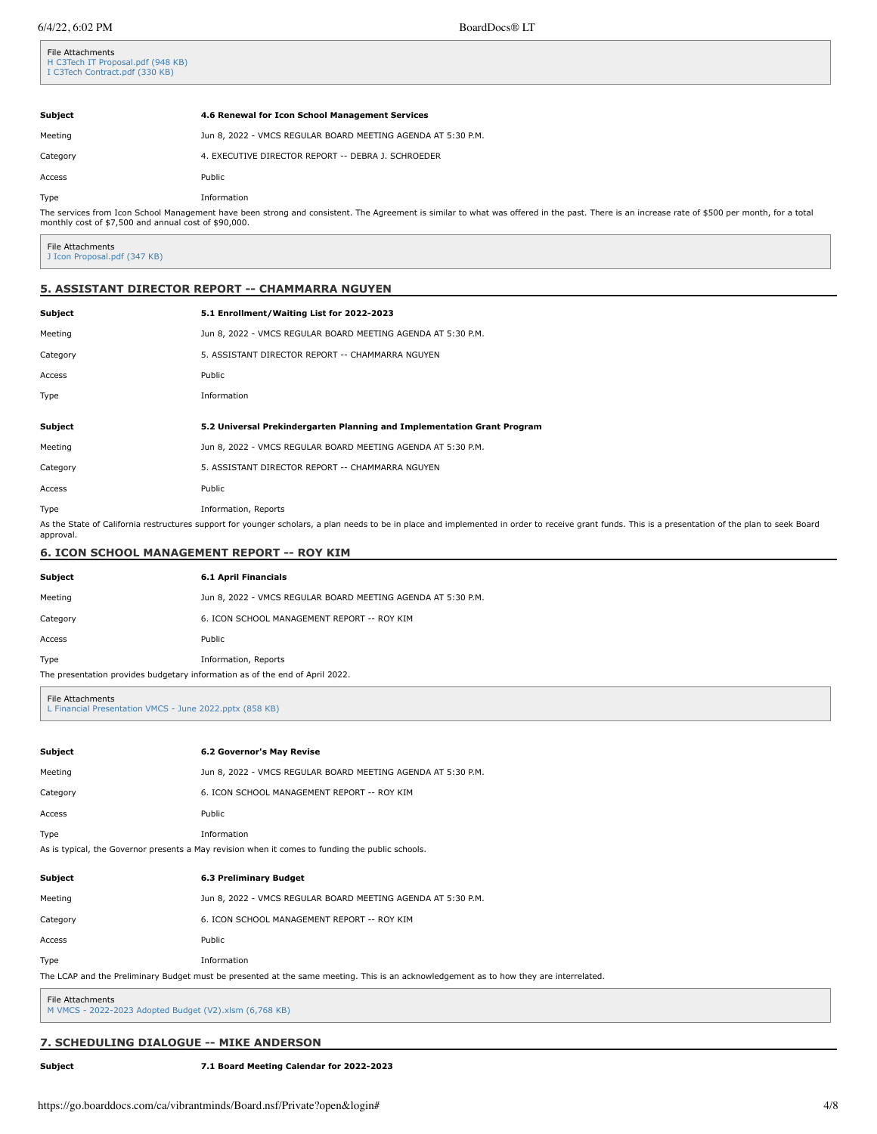File Attachments

| 4.6 Renewal for Icon School Management Services                                                                                                                                                                                                       |  |  |
|-------------------------------------------------------------------------------------------------------------------------------------------------------------------------------------------------------------------------------------------------------|--|--|
| Jun 8, 2022 - VMCS REGULAR BOARD MEETING AGENDA AT 5:30 P.M.                                                                                                                                                                                          |  |  |
| 4. EXECUTIVE DIRECTOR REPORT -- DEBRA J. SCHROEDER                                                                                                                                                                                                    |  |  |
| Public                                                                                                                                                                                                                                                |  |  |
| Information                                                                                                                                                                                                                                           |  |  |
| The services from Icon School Management have been strong and consistent. The Agreement is similar to what was offered in the past. There is an increase rate of \$500 per month, for a total<br>monthly cost of \$7,500 and annual cost of \$90,000. |  |  |
|                                                                                                                                                                                                                                                       |  |  |

File Attachments [J Icon Proposal.pdf \(347 KB\)](https://go.boarddocs.com/ca/vibrantminds/Board.nsf/files/CF3U2D79EC11/$file/J%20Icon%20Proposal.pdf)

## **5. ASSISTANT DIRECTOR REPORT -- CHAMMARRA NGUYEN**

| <b>Subject</b> | 5.1 Enrollment/Waiting List for 2022-2023                               |
|----------------|-------------------------------------------------------------------------|
| Meeting        | Jun 8, 2022 - VMCS REGULAR BOARD MEETING AGENDA AT 5:30 P.M.            |
| Category       | 5. ASSISTANT DIRECTOR REPORT -- CHAMMARRA NGUYEN                        |
| Access         | Public                                                                  |
| Type           | Information                                                             |
|                |                                                                         |
|                |                                                                         |
| Subject        | 5.2 Universal Prekindergarten Planning and Implementation Grant Program |
| Meeting        | Jun 8, 2022 - VMCS REGULAR BOARD MEETING AGENDA AT 5:30 P.M.            |
| Category       | 5. ASSISTANT DIRECTOR REPORT -- CHAMMARRA NGUYEN                        |
| Access         | Public                                                                  |

As the State of California restructures support for younger scholars, a plan needs to be in place and implemented in order to receive grant funds. This is a presentation of the plan to seek Board approval.

## **6. ICON SCHOOL MANAGEMENT REPORT -- ROY KIM**

| Subject                                                                      | 6.1 April Financials                                         |  |
|------------------------------------------------------------------------------|--------------------------------------------------------------|--|
| Meeting                                                                      | Jun 8, 2022 - VMCS REGULAR BOARD MEETING AGENDA AT 5:30 P.M. |  |
| Category                                                                     | 6. ICON SCHOOL MANAGEMENT REPORT -- ROY KIM                  |  |
| Access                                                                       | Public                                                       |  |
| Type                                                                         | Information, Reports                                         |  |
| The presentation provides budgetary information as of the end of April 2022. |                                                              |  |

File Attachments [L Financial Presentation VMCS - June 2022.pptx \(858 KB\)](https://go.boarddocs.com/ca/vibrantminds/Board.nsf/files/CF3U647A77FF/$file/L%20Financial%20Presentation%20VMCS%20-%20June%202022.pptx)

| Subject                                                                                                                                | 6.2 Governor's May Revise                                    |  |
|----------------------------------------------------------------------------------------------------------------------------------------|--------------------------------------------------------------|--|
| Meeting                                                                                                                                | Jun 8, 2022 - VMCS REGULAR BOARD MEETING AGENDA AT 5:30 P.M. |  |
| Category                                                                                                                               | 6. ICON SCHOOL MANAGEMENT REPORT -- ROY KIM                  |  |
| Access                                                                                                                                 | Public                                                       |  |
| Type                                                                                                                                   | Information                                                  |  |
| As is typical, the Governor presents a May revision when it comes to funding the public schools.                                       |                                                              |  |
| Subject                                                                                                                                | 6.3 Preliminary Budget                                       |  |
| Meeting                                                                                                                                | Jun 8, 2022 - VMCS REGULAR BOARD MEETING AGENDA AT 5:30 P.M. |  |
| Category                                                                                                                               | 6. ICON SCHOOL MANAGEMENT REPORT -- ROY KIM                  |  |
| Access                                                                                                                                 | Public                                                       |  |
| Type                                                                                                                                   | Information                                                  |  |
| The LCAP and the Preliminary Budget must be presented at the same meeting. This is an acknowledgement as to how they are interrelated. |                                                              |  |
| File Attachments<br>M VMCS - 2022-2023 Adopted Budget (V2).xlsm (6,768 KB)                                                             |                                                              |  |

## **7. SCHEDULING DIALOGUE -- MIKE ANDERSON**

**Subject 7.1 Board Meeting Calendar for 2022-2023**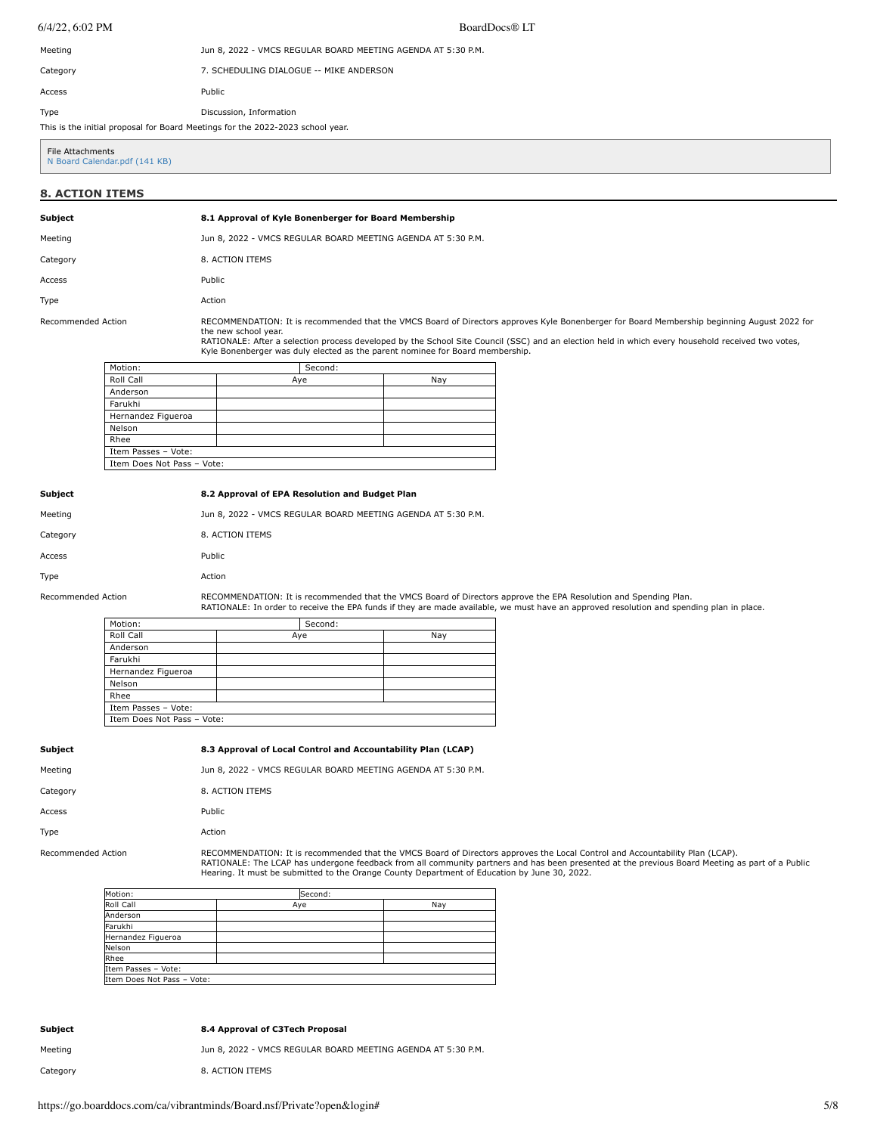6/4/22, 6:02 PM BoardDocs® LT

| Meeting                                                                        | Jun 8, 2022 - VMCS REGULAR BOARD MEETING AGENDA AT 5:30 P.M. |  |
|--------------------------------------------------------------------------------|--------------------------------------------------------------|--|
| Category                                                                       | 7. SCHEDULING DIALOGUE -- MIKE ANDERSON                      |  |
| Access                                                                         | Public                                                       |  |
| Type                                                                           | Discussion, Information                                      |  |
| This is the initial proposal for Board Meetings for the 2022-2023 school year. |                                                              |  |

File Attachments [N Board Calendar.pdf \(141 KB\)](https://go.boarddocs.com/ca/vibrantminds/Board.nsf/files/CF3VTM824EBF/$file/N%20Board%20Calendar.pdf)

# **8. ACTION ITEMS**

# **Subject 8.1 Approval of Kyle Bonenberger for Board Membership**

| Meeting            | Jun 8, 2022 - VMCS REGULAR BOARD MEETING AGENDA AT 5:30 P.M.                                                                                                                                                                                                                                                                                                                                              |
|--------------------|-----------------------------------------------------------------------------------------------------------------------------------------------------------------------------------------------------------------------------------------------------------------------------------------------------------------------------------------------------------------------------------------------------------|
| Category           | 8. ACTION ITEMS                                                                                                                                                                                                                                                                                                                                                                                           |
| Access             | Public                                                                                                                                                                                                                                                                                                                                                                                                    |
| Type               | Action                                                                                                                                                                                                                                                                                                                                                                                                    |
| Recommended Action | RECOMMENDATION: It is recommended that the VMCS Board of Directors approves Kyle Bonenberger for Board Membership beginning August 2022 for<br>the new school year.<br>RATIONALE: After a selection process developed by the School Site Council (SSC) and an election held in which every household received two votes,<br>Kyle Bonenberger was duly elected as the parent nominee for Board membership. |

| Motion:                    |     | Second: |     |
|----------------------------|-----|---------|-----|
| Roll Call                  | Aye |         | Nay |
| Anderson                   |     |         |     |
| Farukhi                    |     |         |     |
| Hernandez Figueroa         |     |         |     |
| Nelson                     |     |         |     |
| Rhee                       |     |         |     |
| Item Passes - Vote:        |     |         |     |
| Item Does Not Pass - Vote: |     |         |     |
|                            |     |         |     |

## **Subject 8.2 Approval of EPA Resolution and Budget Plan**

| Meetina            | Jun 8, 2022 - VMCS REGULAR BOARD MEETING AGENDA AT 5:30 P.M.      |
|--------------------|-------------------------------------------------------------------|
| Category           | 8. ACTION ITEMS                                                   |
| Access             | Public                                                            |
| Type               | Action                                                            |
| Recommended Action | RECOMMENDATION: It is recommended that the VMCS Board of Director |

Recommended Action FRECOMMENDATION: It is recommended that the VMCS Board of Directors approve the EPA Resolution and Spending Plan.<br>RATIONALE: In order to receive the EPA funds if they are made available, we must have an

| Motion:                    |     | Second: |     |
|----------------------------|-----|---------|-----|
| Roll Call                  | Aye |         | Nay |
| Anderson                   |     |         |     |
| Farukhi                    |     |         |     |
| Hernandez Figueroa         |     |         |     |
| Nelson                     |     |         |     |
| Rhee                       |     |         |     |
| Item Passes - Vote:        |     |         |     |
| Item Does Not Pass - Vote: |     |         |     |

## **Subject 8.3 Approval of Local Control and Accountability Plan (LCAP)**

Meeting **Meeting** Jun 8, 2022 - VMCS REGULAR BOARD MEETING AGENDA AT 5:30 P.M. Category 8. ACTION ITEMS Access Public Type Action

Recommended Action FRECOMMENDATION: It is recommended that the VMCS Board of Directors approves the Local Control and Accountability Plan (LCAP).<br>RATIONALE: The LCAP has undergone feedback from all community partners and h

| Motion:                    | Second: |     |
|----------------------------|---------|-----|
| Roll Call                  | Aye     | Nav |
| Anderson                   |         |     |
| Farukhi                    |         |     |
| Hernandez Figueroa         |         |     |
| Nelson                     |         |     |
| Rhee                       |         |     |
| Item Passes - Vote:        |         |     |
| Item Does Not Pass - Vote: |         |     |

#### **Subject 8.4 Approval of C3Tech Proposal**

Meeting **Mundam State Common State State Jun 8, 2022 - VMCS REGULAR BOARD MEETING AGENDA AT 5:30 P.M.** Category 8. ACTION ITEMS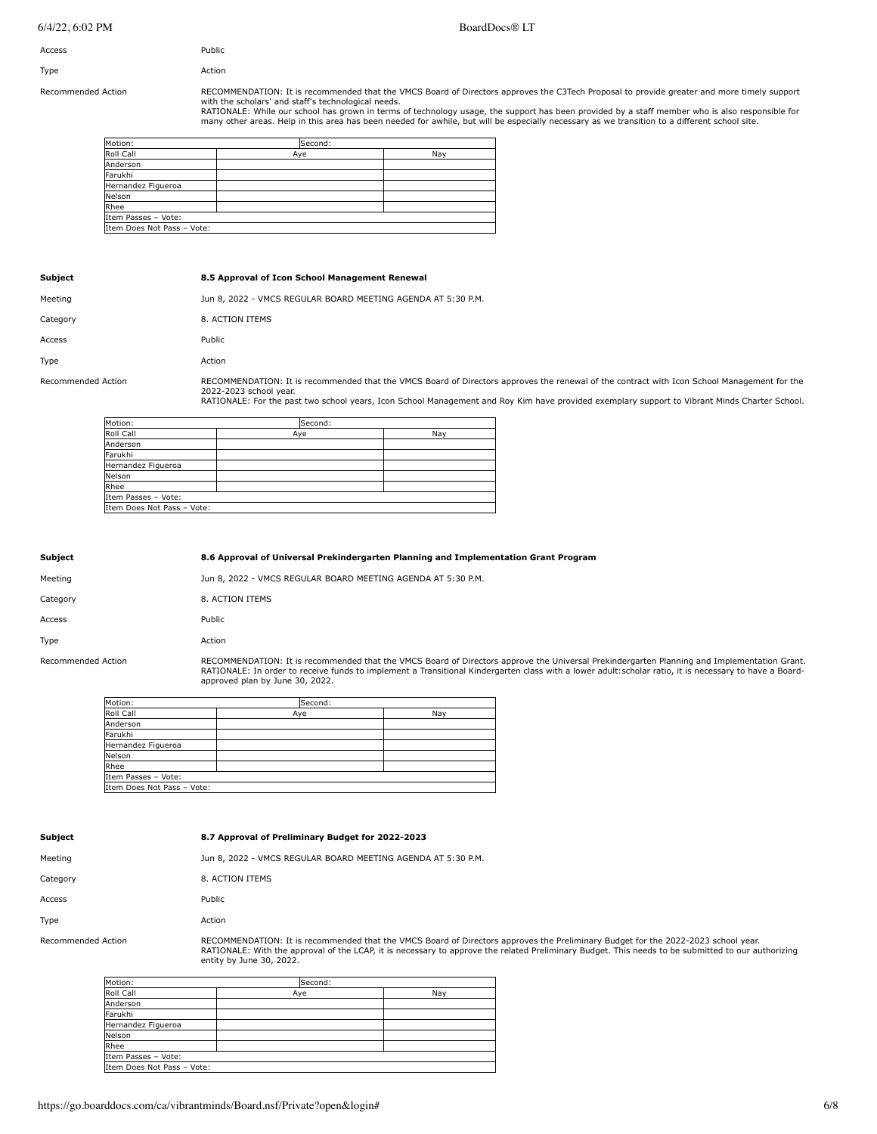| Access | Public |
|--------|--------|
| Type   | Action |

Recommended Action **RECOMMENDATION: It is recommended that the VMCS** Board of Directors approves the C3Tech Proposal to provide greater and more timely support with the scholars' and staff's technological needs.

RATIONALE: While our school has grown in terms of technology usage, the support has been provided by a staff member who is also responsible for<br>many other areas. Help in this area has been needed for awhile, but will be es

| Motion:                    | Second: |     |
|----------------------------|---------|-----|
| Roll Call                  | Aye     | Nay |
| Anderson                   |         |     |
| Farukhi                    |         |     |
| Hernandez Figueroa         |         |     |
| Nelson                     |         |     |
| Rhee                       |         |     |
| Item Passes - Vote:        |         |     |
| Item Does Not Pass - Vote: |         |     |
|                            |         |     |

| Subject            | 8.5 Approval of Icon School Management Renewal                                                                                              |
|--------------------|---------------------------------------------------------------------------------------------------------------------------------------------|
| Meeting            | Jun 8, 2022 - VMCS REGULAR BOARD MEETING AGENDA AT 5:30 P.M.                                                                                |
| Category           | 8. ACTION ITEMS                                                                                                                             |
| Access             | Public                                                                                                                                      |
| Type               | Action                                                                                                                                      |
| Recommended Action | RECOMMENDATION: It is recommended that the VMCS Board of Directors approves the renewal of the contract with Icon<br>2022-2023 school year. |

2022-2023 school year. RATIONALE: For the past two school years, Icon School Management and Roy Kim have provided exemplary support to Vibrant Minds Charter School.

| Motion:                    | Second: |     |
|----------------------------|---------|-----|
| Roll Call                  | Aye     | Nay |
| Anderson                   |         |     |
| Farukhi                    |         |     |
| Hernandez Figueroa         |         |     |
| Nelson                     |         |     |
| Rhee                       |         |     |
| Item Passes - Vote:        |         |     |
| Item Does Not Pass - Vote: |         |     |

| <b>Subject</b>     | 8.6 Approval of Universal Prekindergarten Planning and Implementation Grant Program        |
|--------------------|--------------------------------------------------------------------------------------------|
| Meeting            | Jun 8, 2022 - VMCS REGULAR BOARD MEETING AGENDA AT 5:30 P.M.                               |
| Category           | 8. ACTION ITEMS                                                                            |
| Access             | Public                                                                                     |
| Type               | Action                                                                                     |
| Recommended Action | RECOMMENDATION: It is recommended that the VMCS Board of Directors approve the Universal F |

rs approve the Universal Prekindergarten Planning and Implementation Grant. RATIONALE: In order to receive funds to implement a Transitional Kindergarten class with a lower adult:scholar ratio, it is necessary to have a Board-approved plan by June 30, 2022.

| Motion:                    | Second: |     |
|----------------------------|---------|-----|
| Roll Call                  | Aye     | Nav |
| Anderson                   |         |     |
| Farukhi                    |         |     |
| Hernandez Figueroa         |         |     |
| Nelson                     |         |     |
| Rhee                       |         |     |
| Item Passes - Vote:        |         |     |
| Item Does Not Pass - Vote: |         |     |

### **Subject 8.7 Approval of Preliminary Budget for 2022-2023**

| Meetina            | Jun 8, 2022 - VMCS REGULAR BOARD MEETING AGENDA AT 5:30 P.M.             |
|--------------------|--------------------------------------------------------------------------|
| Category           | 8. ACTION ITEMS                                                          |
| Access             | Public                                                                   |
| Type               | Action                                                                   |
| Recommended Action | <b>RECOMMENDATION: It is recommended that the VMCS Board of Director</b> |

nmended Action **RECOMMENDATION: It is recommended that the VMCS** Board of Directors approves the Preliminary Budget for the 2022-2023 school year. RATIONALE: With the approval of the LCAP, it is necessary to approve the related Preliminary Budget. This needs to be submitted to our authorizing entity by June 30, 2022.

| Motion:                    | Second: |     |
|----------------------------|---------|-----|
| Roll Call                  | Aye     | Nav |
| Anderson                   |         |     |
| Farukhi                    |         |     |
| Hernandez Figueroa         |         |     |
| Nelson                     |         |     |
| Rhee                       |         |     |
| Item Passes - Vote:        |         |     |
| Item Does Not Pass - Vote: |         |     |

School Management for the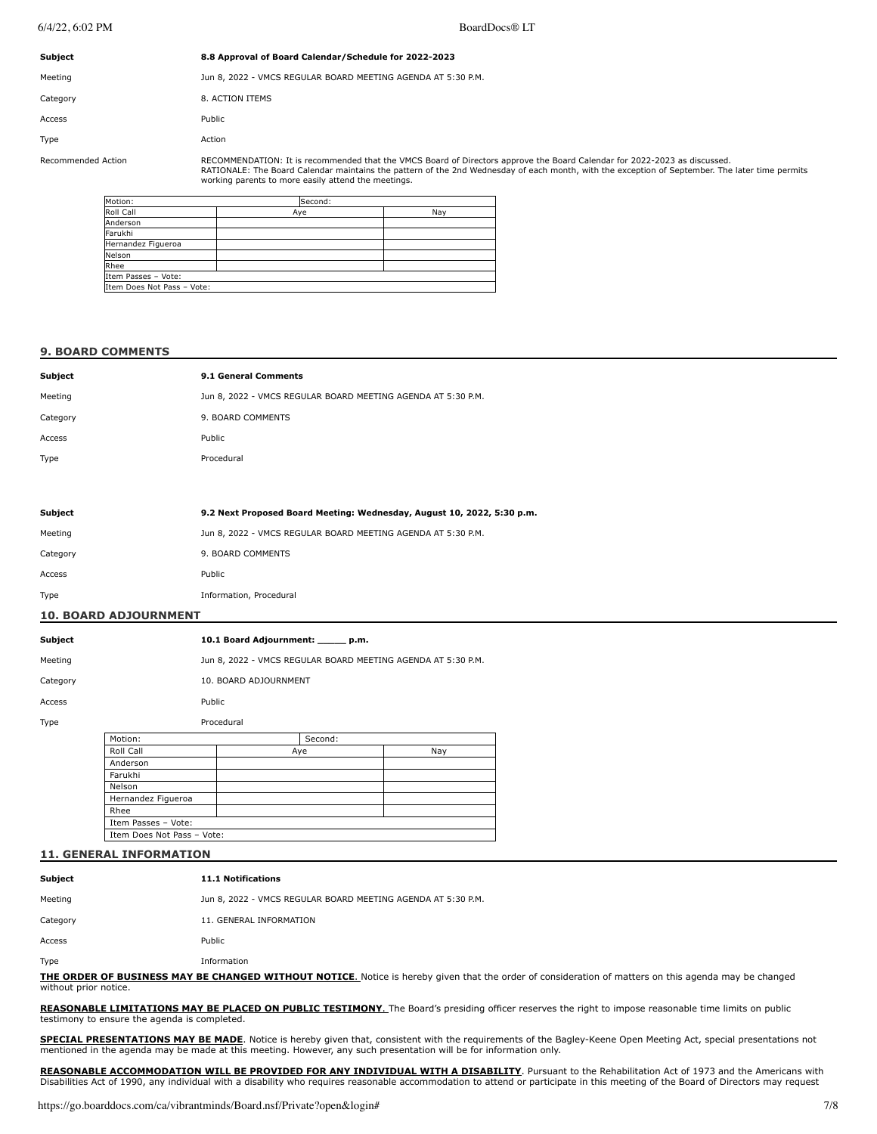| <b>Subject</b>     | 8.8 Approval of Board Calendar/Schedule for 2022-2023                                                                                                                                                                                                                        |
|--------------------|------------------------------------------------------------------------------------------------------------------------------------------------------------------------------------------------------------------------------------------------------------------------------|
| Meeting            | Jun 8, 2022 - VMCS REGULAR BOARD MEETING AGENDA AT 5:30 P.M.                                                                                                                                                                                                                 |
| Category           | 8. ACTION ITEMS                                                                                                                                                                                                                                                              |
| Access             | Public                                                                                                                                                                                                                                                                       |
| Type               | Action                                                                                                                                                                                                                                                                       |
| Recommended Action | RECOMMENDATION: It is recommended that the VMCS Board of Directors approve the Board Calendar for 2022-2023 as discussed.<br>RATIONALE: The Board Calendar maintains the pattern of the 2nd Wednesday of each month, with the exception of September. The later time permits |

| Motion:                    | Second: |     |
|----------------------------|---------|-----|
| Roll Call                  | Aye     | Nav |
| Anderson                   |         |     |
| Farukhi                    |         |     |
| Hernandez Figueroa         |         |     |
| Nelson                     |         |     |
| Rhee                       |         |     |
| Item Passes - Vote:        |         |     |
| Item Does Not Pass - Vote: |         |     |
|                            |         |     |

working parents to more easily attend the meetings.

## **9. BOARD COMMENTS**

| Subject                      | 9.1 General Comments                                                   |
|------------------------------|------------------------------------------------------------------------|
| Meeting                      | Jun 8, 2022 - VMCS REGULAR BOARD MEETING AGENDA AT 5:30 P.M.           |
| Category                     | 9. BOARD COMMENTS                                                      |
| Access                       | Public                                                                 |
| Type                         | Procedural                                                             |
|                              |                                                                        |
|                              |                                                                        |
| Subject                      | 9.2 Next Proposed Board Meeting: Wednesday, August 10, 2022, 5:30 p.m. |
| Meeting                      | Jun 8, 2022 - VMCS REGULAR BOARD MEETING AGENDA AT 5:30 P.M.           |
| Category                     | 9. BOARD COMMENTS                                                      |
| Access                       | Public                                                                 |
| Type                         | Information, Procedural                                                |
| <b>10. BOARD ADJOURNMENT</b> |                                                                        |
|                              |                                                                        |
|                              |                                                                        |

| Subject  |                    |            | 10.1 Board Adjournment: p.m. |         |                                                              |     |
|----------|--------------------|------------|------------------------------|---------|--------------------------------------------------------------|-----|
| Meeting  |                    |            |                              |         | Jun 8, 2022 - VMCS REGULAR BOARD MEETING AGENDA AT 5:30 P.M. |     |
| Category |                    |            | 10. BOARD ADJOURNMENT        |         |                                                              |     |
| Access   |                    |            | Public                       |         |                                                              |     |
| Type     |                    | Procedural |                              |         |                                                              |     |
|          | Motion:            |            |                              | Second: |                                                              |     |
|          | Roll Call          |            |                              | Aye     |                                                              | Nay |
|          | Anderson           |            |                              |         |                                                              |     |
|          | Farukhi            |            |                              |         |                                                              |     |
|          | Nelson             |            |                              |         |                                                              |     |
|          | Hernandez Figueroa |            |                              |         |                                                              |     |
|          | Rhee               |            |                              |         |                                                              |     |

## **11. GENERAL INFORMATION**

Item Passes – Vote: Item Does Not Pass – Vote:

| Subject                                                                                                                                                                       | <b>11.1 Notifications</b>                                    |  |
|-------------------------------------------------------------------------------------------------------------------------------------------------------------------------------|--------------------------------------------------------------|--|
| Meeting                                                                                                                                                                       | Jun 8, 2022 - VMCS REGULAR BOARD MEETING AGENDA AT 5:30 P.M. |  |
| Category                                                                                                                                                                      | 11. GENERAL INFORMATION                                      |  |
| Access                                                                                                                                                                        | Public                                                       |  |
| Type                                                                                                                                                                          | Information                                                  |  |
| THE ORDER OF BUSINESS MAY BE CHANGED WITHOUT NOTICE. Notice is hereby given that the order of consideration of matters on this agenda may be changed<br>without prior notice. |                                                              |  |

**REASONABLE LIMITATIONS MAY BE PLACED ON PUBLIC TESTIMONY**. The Board's presiding officer reserves the right to impose reasonable time limits on public testimony to ensure the agenda is completed.

**SPECIAL PRESENTATIONS MAY BE MADE**. Notice is hereby given that, consistent with the requirements of the Bagley-Keene Open Meeting Act, special presentations not mentioned in the agenda may be made at this meeting. However, any such presentation will be for information only.

REASONABLE ACCOMMODATION WILL BE PROVIDED FOR ANY INDIVIDUAL WITH A DISABILITY. Pursuant to the Rehabilitation Act of 1973 and the Americans with<br>Disabilities Act of 1990, any individual with a disability who requires reas